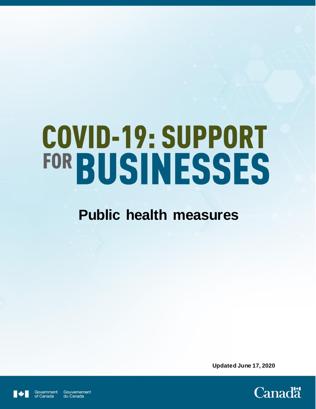# COVID-19: SUPPORT FOR BUSINESSES

# **Public health measures**

**Updated June 17, 2020**



Government Gouvernement of Canada du Canada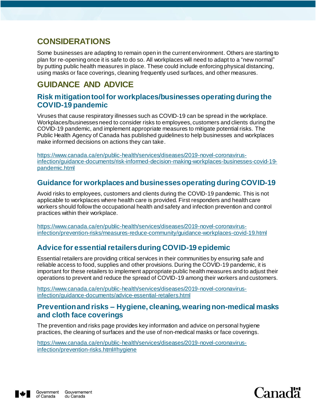# **CONSIDERATIONS**

Some businesses are adapting to remain open in the current environment. Others are starting to plan for re-opening once it is safe to do so. All workplaces will need to adapt to a "new normal" by putting public health measures in place. These could include enforcing physical distancing, using masks or face coverings, cleaning frequently used surfaces, and other measures.

# **GUIDANCE AND ADVICE**

#### **Risk mitigation tool for workplaces/businesses operating during the COVID-19 pandemic**

Viruses that cause respiratory illnesses such as COVID-19 can be spread in the workplace. Workplaces/businesses need to consider risks to employees, customers and clients during the COVID-19 pandemic, and implement appropriate measures to mitigate potential risks. The Public Health Agency of Canada has published guidelines to help businesses and workplaces make informed decisions on actions they can take.

[https://www.canada.ca/en/public-health/services/diseases/2019-novel-coronavirus](https://www.canada.ca/en/public-health/services/diseases/2019-novel-coronavirus-infection/guidance-documents/risk-informed-decision-making-workplaces-businesses-covid-19-pandemic.html)[infection/guidance-documents/risk-informed-decision-making-workplaces-businesses-covid-19](https://www.canada.ca/en/public-health/services/diseases/2019-novel-coronavirus-infection/guidance-documents/risk-informed-decision-making-workplaces-businesses-covid-19-pandemic.html) [pandemic.html](https://www.canada.ca/en/public-health/services/diseases/2019-novel-coronavirus-infection/guidance-documents/risk-informed-decision-making-workplaces-businesses-covid-19-pandemic.html)

#### **Guidance for workplaces and businesses operating during COVID-19**

Avoid risks to employees, customers and clients during the COVID-19 pandemic. This is not applicable to workplaces where health care is provided. First responders and health care workers should follow the occupational health and safety and infection prevention and control practices within their workplace.

[https://www.canada.ca/en/public-health/services/diseases/2019-novel-coronavirus](https://www.canada.ca/en/public-health/services/diseases/2019-novel-coronavirus-infection/prevention-risks/measures-reduce-community/guidance-workplaces-covid-19.html)[infection/prevention-risks/measures-reduce-community/guidance-workplaces-covid-19.html](https://www.canada.ca/en/public-health/services/diseases/2019-novel-coronavirus-infection/prevention-risks/measures-reduce-community/guidance-workplaces-covid-19.html)

#### **Advice for essential retailers during COVID-19 epidemic**

Essential retailers are providing critical services in their communities by ensuring safe and reliable access to food, supplies and other provisions. During the COVID-19 pandemic, it is important for these retailers to implement appropriate public health measures and to adjust their operations to prevent and reduce the spread of COVID-19 among their workers and customers.

[https://www.canada.ca/en/public-health/services/diseases/2019-novel-coronavirus](https://www.canada.ca/en/public-health/services/diseases/2019-novel-coronavirus-infection/guidance-documents/advice-essential-retailers.html)[infection/guidance-documents/advice-essential-retailers.html](https://www.canada.ca/en/public-health/services/diseases/2019-novel-coronavirus-infection/guidance-documents/advice-essential-retailers.html)

#### **Prevention and risks – Hygiene, cleaning, wearing non-medical masks and cloth face coverings**

The prevention and risks page provides key information and advice on personal hygiene practices, the cleaning of surfaces and the use of non-medical masks or face coverings.

[https://www.canada.ca/en/public-health/services/diseases/2019-novel-coronavirus](https://www.canada.ca/en/public-health/services/diseases/2019-novel-coronavirus-infection/prevention-risks.html#hygiene)[infection/prevention-risks.html#hygiene](https://www.canada.ca/en/public-health/services/diseases/2019-novel-coronavirus-infection/prevention-risks.html#hygiene)



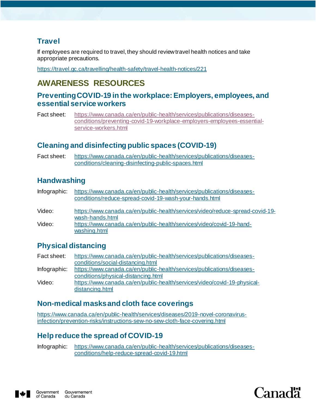#### **Travel**

If employees are required to travel, they should review travel health notices and take appropriate precautions.

<https://travel.gc.ca/travelling/health-safety/travel-health-notices/221>

# **AWARENESS RESOURCES**

#### **Preventing COVID-19 in the workplace: Employers, employees, and essential service workers**

Fact sheet: [https://www.canada.ca/en/public-health/services/publications/diseases](https://www.canada.ca/en/public-health/services/publications/diseases-conditions/preventing-covid-19-workplace-employers-employees-essential-service-workers.html)[conditions/preventing-covid-19-workplace-employers-employees-essential](https://www.canada.ca/en/public-health/services/publications/diseases-conditions/preventing-covid-19-workplace-employers-employees-essential-service-workers.html)[service-workers.html](https://www.canada.ca/en/public-health/services/publications/diseases-conditions/preventing-covid-19-workplace-employers-employees-essential-service-workers.html)

#### **Cleaning and disinfecting public spaces (COVID-19)**

Fact sheet: [https://www.canada.ca/en/public-health/services/publications/diseases](https://www.canada.ca/en/public-health/services/publications/diseases-conditions/cleaning-disinfecting-public-spaces.html)[conditions/cleaning-disinfecting-public-spaces.html](https://www.canada.ca/en/public-health/services/publications/diseases-conditions/cleaning-disinfecting-public-spaces.html)

#### **Handwashing**

| Infographic: | https://www.canada.ca/en/public-health/services/publications/diseases-<br>conditions/reduce-spread-covid-19-wash-your-hands.html |
|--------------|----------------------------------------------------------------------------------------------------------------------------------|
| Video:       | https://www.canada.ca/en/public-health/services/video/reduce-spread-covid-19-<br>wash-hands.html                                 |
| Video:       | https://www.canada.ca/en/public-health/services/video/covid-19-hand-<br>washing.html                                             |

#### **Physical distancing**

| Fact sheet:  | https://www.canada.ca/en/public-health/services/publications/diseases-   |
|--------------|--------------------------------------------------------------------------|
|              | conditions/social-distancing.html                                        |
| Infographic: | https://www.canada.ca/en/public-health/services/publications/diseases-   |
|              | conditions/physical-distancing.html                                      |
| Video:       | https://www.canada.ca/en/public-health/services/video/covid-19-physical- |
|              | distancing.html                                                          |

#### **Non-medical masks and cloth face coverings**

[https://www.canada.ca/en/public-health/services/diseases/2019-novel-coronavirus](https://www.canada.ca/en/public-health/services/diseases/2019-novel-coronavirus-infection/prevention-risks/instructions-sew-no-sew-cloth-face-covering.html)[infection/prevention-risks/instructions-sew-no-sew-cloth-face-covering.html](https://www.canada.ca/en/public-health/services/diseases/2019-novel-coronavirus-infection/prevention-risks/instructions-sew-no-sew-cloth-face-covering.html)

### **Help reduce the spread of COVID-19**

Infographic: [https://www.canada.ca/en/public-health/services/publications/diseases](https://www.canada.ca/en/public-health/services/publications/diseases-conditions/help-reduce-spread-covid-19.html)[conditions/help-reduce-spread-covid-19.html](https://www.canada.ca/en/public-health/services/publications/diseases-conditions/help-reduce-spread-covid-19.html)